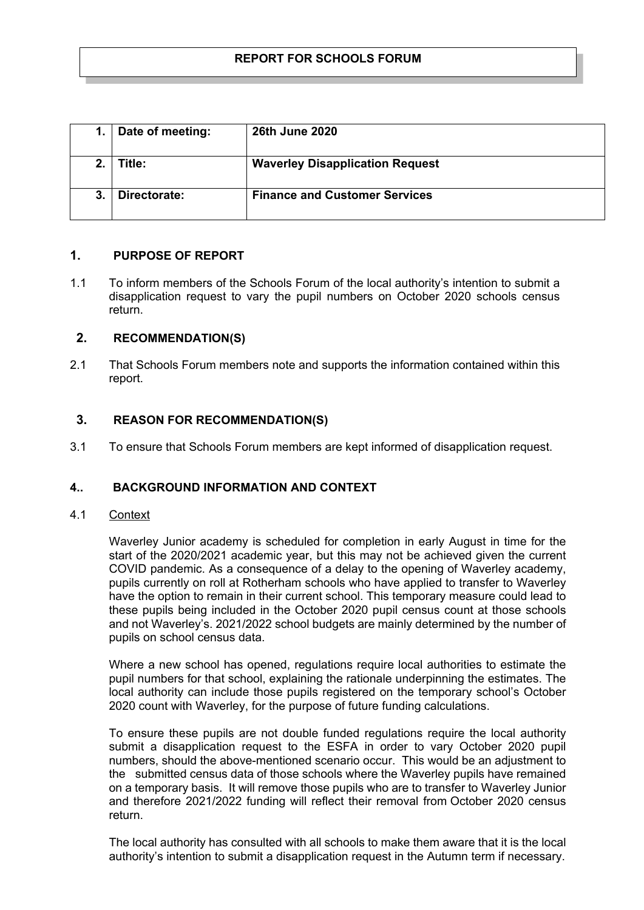|    | Date of meeting: | <b>26th June 2020</b>                  |
|----|------------------|----------------------------------------|
|    | Title:           | <b>Waverley Disapplication Request</b> |
| 3. | Directorate:     | <b>Finance and Customer Services</b>   |

## **1. PURPOSE OF REPORT**

1.1 To inform members of the Schools Forum of the local authority's intention to submit a disapplication request to vary the pupil numbers on October 2020 schools census return.

#### **2. RECOMMENDATION(S)**

2.1 That Schools Forum members note and supports the information contained within this report.

#### **3. REASON FOR RECOMMENDATION(S)**

3.1 To ensure that Schools Forum members are kept informed of disapplication request.

### **4.. BACKGROUND INFORMATION AND CONTEXT**

4.1 Context

Waverley Junior academy is scheduled for completion in early August in time for the start of the 2020/2021 academic year, but this may not be achieved given the current COVID pandemic. As a consequence of a delay to the opening of Waverley academy, pupils currently on roll at Rotherham schools who have applied to transfer to Waverley have the option to remain in their current school. This temporary measure could lead to these pupils being included in the October 2020 pupil census count at those schools and not Waverley's. 2021/2022 school budgets are mainly determined by the number of pupils on school census data.

Where a new school has opened, regulations require local authorities to estimate the pupil numbers for that school, explaining the rationale underpinning the estimates. The local authority can include those pupils registered on the temporary school's October 2020 count with Waverley, for the purpose of future funding calculations.

To ensure these pupils are not double funded regulations require the local authority submit a disapplication request to the ESFA in order to vary October 2020 pupil numbers, should the above-mentioned scenario occur. This would be an adjustment to the submitted census data of those schools where the Waverley pupils have remained on a temporary basis. It will remove those pupils who are to transfer to Waverley Junior and therefore 2021/2022 funding will reflect their removal from October 2020 census return.

The local authority has consulted with all schools to make them aware that it is the local authority's intention to submit a disapplication request in the Autumn term if necessary.